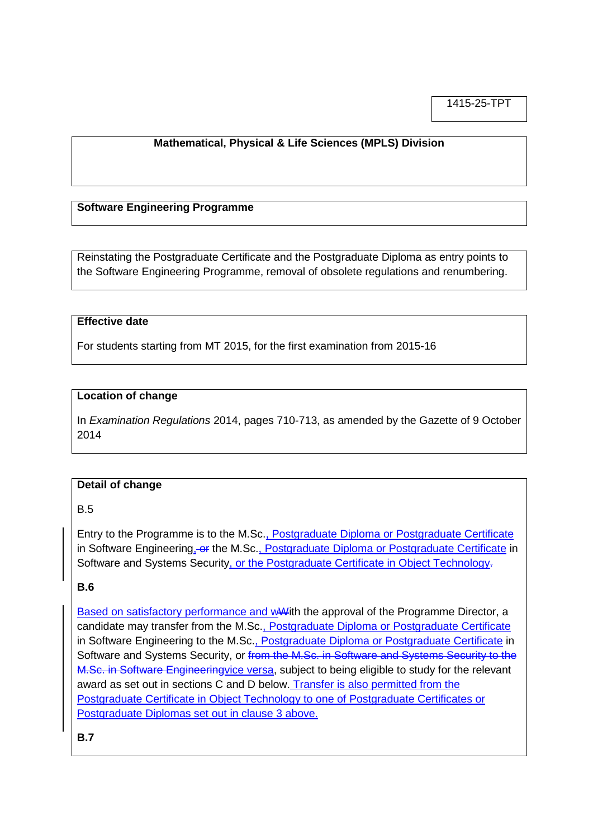1415-25-TPT

### **Mathematical, Physical & Life Sciences (MPLS) Division**

#### **Software Engineering Programme**

Reinstating the Postgraduate Certificate and the Postgraduate Diploma as entry points to the Software Engineering Programme, removal of obsolete regulations and renumbering.

#### **Effective date**

For students starting from MT 2015, for the first examination from 2015-16

#### **Location of change**

In *Examination Regulations* 2014, pages 710-713, as amended by the Gazette of 9 October 2014

#### **Detail of change**

### B.5

Entry to the Programme is to the M.Sc., Postgraduate Diploma or Postgraduate Certificate in Software Engineering, or the M.Sc., Postgraduate Diploma or Postgraduate Certificate in Software and Systems Security, or the Postgraduate Certificate in Object Technology-

### **B.6**

Based on satisfactory performance and wWith the approval of the Programme Director, a candidate may transfer from the M.Sc., Postgraduate Diploma or Postgraduate Certificate in Software Engineering to the M.Sc., Postgraduate Diploma or Postgraduate Certificate in Software and Systems Security, or from the M.Sc. in Software and Systems Security to the M.Sc. in Software Engineeringvice versa, subject to being eligible to study for the relevant award as set out in sections C and D below. Transfer is also permitted from the Postgraduate Certificate in Object Technology to one of Postgraduate Certificates or Postgraduate Diplomas set out in clause 3 above.

**B.7**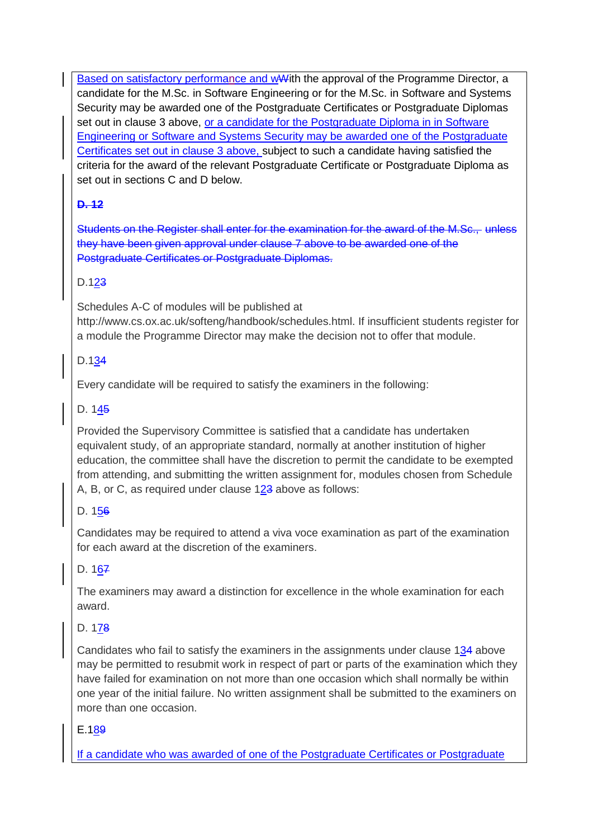Based on satisfactory performance and wWith the approval of the Programme Director, a candidate for the M.Sc. in Software Engineering or for the M.Sc. in Software and Systems Security may be awarded one of the Postgraduate Certificates or Postgraduate Diplomas set out in clause 3 above, or a candidate for the Postgraduate Diploma in in Software Engineering or Software and Systems Security may be awarded one of the Postgraduate Certificates set out in clause 3 above, subject to such a candidate having satisfied the criteria for the award of the relevant Postgraduate Certificate or Postgraduate Diploma as set out in sections C and D below.

# **D. 12**

Students on the Register shall enter for the examination for the award of the M.Sc., unless they have been given approval under clause 7 above to be awarded one of the Postgraduate Certificates or Postgraduate Diplomas.

# D.123

Schedules A-C of modules will be published at http://www.cs.ox.ac.uk/softeng/handbook/schedules.html. If insufficient students register for a module the Programme Director may make the decision not to offer that module.

# D.134

Every candidate will be required to satisfy the examiners in the following:

## D. 145

Provided the Supervisory Committee is satisfied that a candidate has undertaken equivalent study, of an appropriate standard, normally at another institution of higher education, the committee shall have the discretion to permit the candidate to be exempted from attending, and submitting the written assignment for, modules chosen from Schedule A, B, or C, as required under clause  $123$  above as follows:

## D. 156

Candidates may be required to attend a viva voce examination as part of the examination for each award at the discretion of the examiners.

## D. 167

The examiners may award a distinction for excellence in the whole examination for each award.

# D. 178

Candidates who fail to satisfy the examiners in the assignments under clause 134 above may be permitted to resubmit work in respect of part or parts of the examination which they have failed for examination on not more than one occasion which shall normally be within one year of the initial failure. No written assignment shall be submitted to the examiners on more than one occasion.

## E.189

If a candidate who was awarded of one of the Postgraduate Certificates or Postgraduate